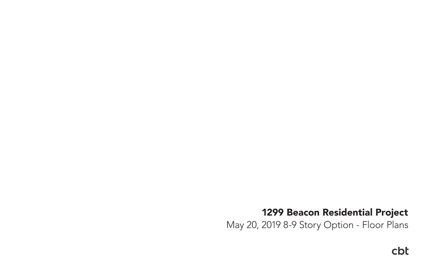# cbt

# 1299 Beacon Residential Project May 20, 2019 8-9 Story Option - Floor Plans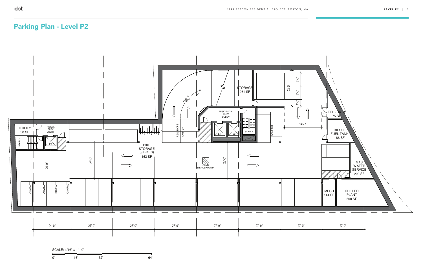

| 0' | . .<br>_ _ |  |
|----|------------|--|

$$
SCALE: 1/16" = 1' - 0"
$$

## Parking Plan - Level P2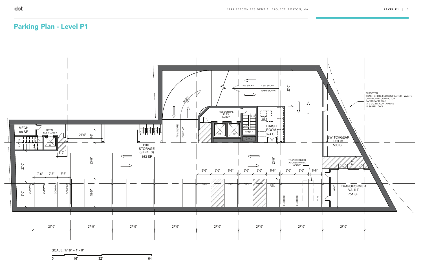

0' 16' 32' 64'

$$
SCALE: 1/16" = 1' - 0"
$$

## Parking Plan - Level P1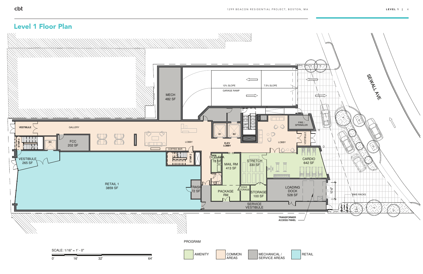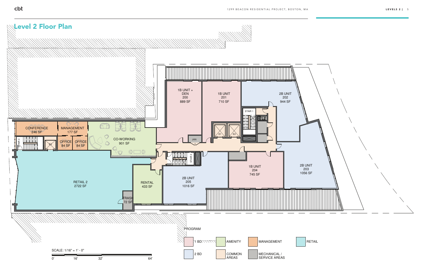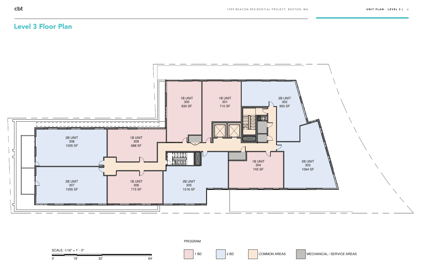

0' 16' 32' 64'

#### 1 BD 2 BD COMMON AREAS MECHANICAL / SERVICE AREAS

SCALE: 1/16" = 1' - 0"

PROGRAM

### Level 3 Floor Plan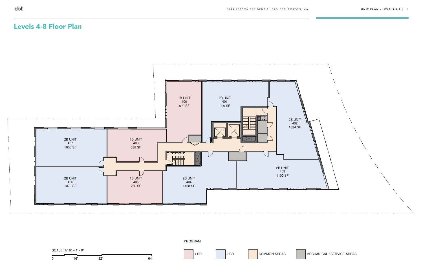

SCALE: 
$$
1/16" = 1' - 0"
$$

\n

| 0' | 16' | 32' | 64' | 1 B |
|----|-----|-----|-----|-----|
|----|-----|-----|-----|-----|

#### 1 BD 2 BD COMMON AREAS MECHANICAL / SERVICE AREAS



### Levels 4-8 Floor Plan